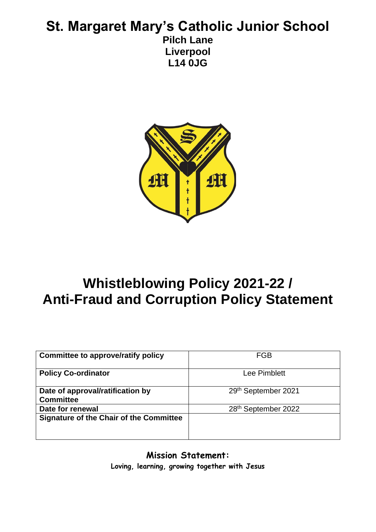# **St. Margaret Mary's Catholic Junior School Pilch Lane Liverpool**

**L14 0JG**



# **Whistleblowing Policy 2021-22 / Anti-Fraud and Corruption Policy Statement**

| <b>Committee to approve/ratify policy</b>            | <b>FGB</b>          |
|------------------------------------------------------|---------------------|
| <b>Policy Co-ordinator</b>                           | Lee Pimblett        |
| Date of approval/ratification by<br><b>Committee</b> | 29th September 2021 |
| Date for renewal                                     | 28th September 2022 |
| <b>Signature of the Chair of the Committee</b>       |                     |

**Mission Statement: Loving, learning, growing together with Jesus**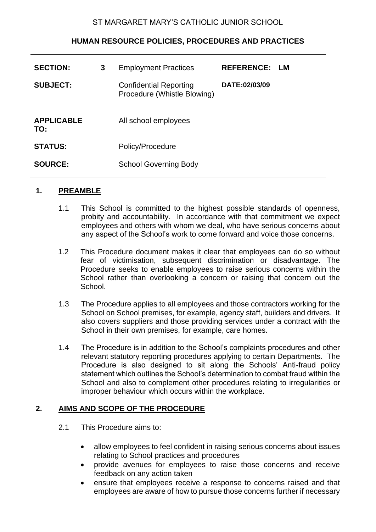#### ST MARGARET MARY'S CATHOLIC JUNIOR SCHOOL

# **HUMAN RESOURCE POLICIES, PROCEDURES AND PRACTICES**

| 3 | <b>Employment Practices</b>                                  | <b>REFERENCE:</b> | LM. |
|---|--------------------------------------------------------------|-------------------|-----|
|   | <b>Confidential Reporting</b><br>Procedure (Whistle Blowing) | DATE:02/03/09     |     |
|   | All school employees                                         |                   |     |
|   | Policy/Procedure                                             |                   |     |
|   | <b>School Governing Body</b>                                 |                   |     |
|   |                                                              |                   |     |

#### **1. PREAMBLE**

- 1.1This School is committed to the highest possible standards of openness, probity and accountability. In accordance with that commitment we expect employees and others with whom we deal, who have serious concerns about any aspect of the School's work to come forward and voice those concerns.
- 1.2 This Procedure document makes it clear that employees can do so without fear of victimisation, subsequent discrimination or disadvantage. The Procedure seeks to enable employees to raise serious concerns within the School rather than overlooking a concern or raising that concern out the School.
- 1.3 The Procedure applies to all employees and those contractors working for the School on School premises, for example, agency staff, builders and drivers. It also covers suppliers and those providing services under a contract with the School in their own premises, for example, care homes.
- 1.4 The Procedure is in addition to the School's complaints procedures and other relevant statutory reporting procedures applying to certain Departments. The Procedure is also designed to sit along the Schools' Anti-fraud policy statement which outlines the School's determination to combat fraud within the School and also to complement other procedures relating to irregularities or improper behaviour which occurs within the workplace.

# **2. AIMS AND SCOPE OF THE PROCEDURE**

- 2.1 This Procedure aims to:
	- allow employees to feel confident in raising serious concerns about issues relating to School practices and procedures
	- provide avenues for employees to raise those concerns and receive feedback on any action taken
	- ensure that employees receive a response to concerns raised and that employees are aware of how to pursue those concerns further if necessary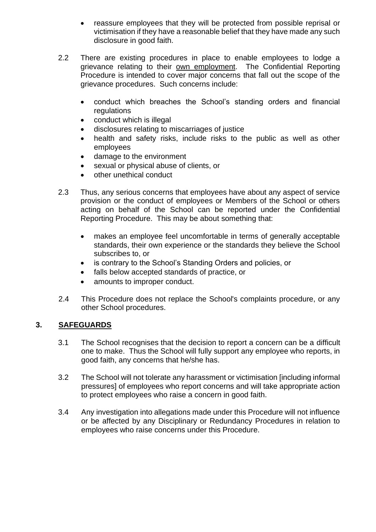- reassure employees that they will be protected from possible reprisal or victimisation if they have a reasonable belief that they have made any such disclosure in good faith.
- 2.2 There are existing procedures in place to enable employees to lodge a grievance relating to their own employment. The Confidential Reporting Procedure is intended to cover major concerns that fall out the scope of the grievance procedures. Such concerns include:
	- conduct which breaches the School's standing orders and financial regulations
	- conduct which is illegal
	- disclosures relating to miscarriages of justice
	- health and safety risks, include risks to the public as well as other employees
	- damage to the environment
	- sexual or physical abuse of clients, or
	- other unethical conduct
- 2.3 Thus, any serious concerns that employees have about any aspect of service provision or the conduct of employees or Members of the School or others acting on behalf of the School can be reported under the Confidential Reporting Procedure. This may be about something that:
	- makes an employee feel uncomfortable in terms of generally acceptable standards, their own experience or the standards they believe the School subscribes to, or
	- is contrary to the School's Standing Orders and policies, or
	- falls below accepted standards of practice, or
	- amounts to improper conduct.
- 2.4 This Procedure does not replace the School's complaints procedure, or any other School procedures.

# **3. SAFEGUARDS**

- 3.1 The School recognises that the decision to report a concern can be a difficult one to make. Thus the School will fully support any employee who reports, in good faith, any concerns that he/she has.
- 3.2 The School will not tolerate any harassment or victimisation [including informal pressures] of employees who report concerns and will take appropriate action to protect employees who raise a concern in good faith.
- 3.4 Any investigation into allegations made under this Procedure will not influence or be affected by any Disciplinary or Redundancy Procedures in relation to employees who raise concerns under this Procedure.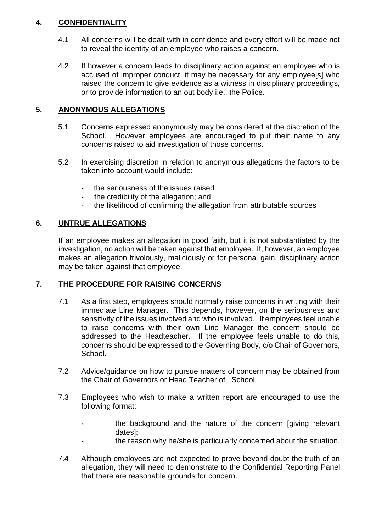# **4. CONFIDENTIALITY**

- 4.1 All concerns will be dealt with in confidence and every effort will be made not to reveal the identity of an employee who raises a concern.
- 4.2 If however a concern leads to disciplinary action against an employee who is accused of improper conduct, it may be necessary for any employee [s] who raised the concern to give evidence as a witness in disciplinary proceedings, or to provide information to an out body i.e., the Police.

# **5. ANONYMOUS ALLEGATIONS**

- 5.1 Concerns expressed anonymously may be considered at the discretion of the School. However employees are encouraged to put their name to any concerns raised to aid investigation of those concerns.
- 5.2 In exercising discretion in relation to anonymous allegations the factors to be taken into account would include:
	- the seriousness of the issues raised
	- the credibility of the allegation; and
	- the likelihood of confirming the allegation from attributable sources

# **6. UNTRUE ALLEGATIONS**

If an employee makes an allegation in good faith, but it is not substantiated by the investigation, no action will be taken against that employee. If, however, an employee makes an allegation frivolously, maliciously or for personal gain, disciplinary action may be taken against that employee.

# **7. THE PROCEDURE FOR RAISING CONCERNS**

- 7.1 As a first step, employees should normally raise concerns in writing with their immediate Line Manager. This depends, however, on the seriousness and sensitivity of the issues involved and who is involved. If employees feel unable to raise concerns with their own Line Manager the concern should be addressed to the Headteacher. If the employee feels unable to do this, concerns should be expressed to the Governing Body, c/o Chair of Governors, School.
- 7.2 Advice/guidance on how to pursue matters of concern may be obtained from the Chair of Governors or Head Teacher of School.
- 7.3 Employees who wish to make a written report are encouraged to use the following format:
	- the background and the nature of the concern [giving relevant dates];
	- the reason why he/she is particularly concerned about the situation.
- 7.4 Although employees are not expected to prove beyond doubt the truth of an allegation, they will need to demonstrate to the Confidential Reporting Panel that there are reasonable grounds for concern.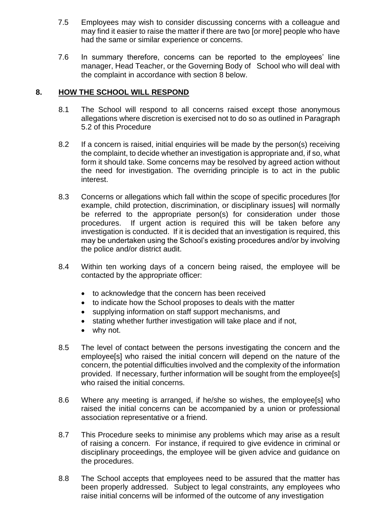- 7.5 Employees may wish to consider discussing concerns with a colleague and may find it easier to raise the matter if there are two [or more] people who have had the same or similar experience or concerns.
- 7.6 In summary therefore, concerns can be reported to the employees' line manager, Head Teacher, or the Governing Body of School who will deal with the complaint in accordance with section 8 below.

## **8. HOW THE SCHOOL WILL RESPOND**

- 8.1 The School will respond to all concerns raised except those anonymous allegations where discretion is exercised not to do so as outlined in Paragraph 5.2 of this Procedure
- 8.2 If a concern is raised, initial enquiries will be made by the person(s) receiving the complaint, to decide whether an investigation is appropriate and, if so, what form it should take. Some concerns may be resolved by agreed action without the need for investigation. The overriding principle is to act in the public interest.
- 8.3 Concerns or allegations which fall within the scope of specific procedures [for example, child protection, discrimination, or disciplinary issues] will normally be referred to the appropriate person(s) for consideration under those procedures. If urgent action is required this will be taken before any investigation is conducted. If it is decided that an investigation is required, this may be undertaken using the School's existing procedures and/or by involving the police and/or district audit.
- 8.4 Within ten working days of a concern being raised, the employee will be contacted by the appropriate officer:
	- to acknowledge that the concern has been received
	- to indicate how the School proposes to deals with the matter
	- supplying information on staff support mechanisms, and
	- stating whether further investigation will take place and if not,
	- why not.
- 8.5 The level of contact between the persons investigating the concern and the employee [s] who raised the initial concern will depend on the nature of the concern, the potential difficulties involved and the complexity of the information provided. If necessary, further information will be sought from the employee[s] who raised the initial concerns.
- 8.6 Where any meeting is arranged, if he/she so wishes, the employee[s] who raised the initial concerns can be accompanied by a union or professional association representative or a friend.
- 8.7 This Procedure seeks to minimise any problems which may arise as a result of raising a concern. For instance, if required to give evidence in criminal or disciplinary proceedings, the employee will be given advice and guidance on the procedures.
- 8.8 The School accepts that employees need to be assured that the matter has been properly addressed. Subject to legal constraints, any employees who raise initial concerns will be informed of the outcome of any investigation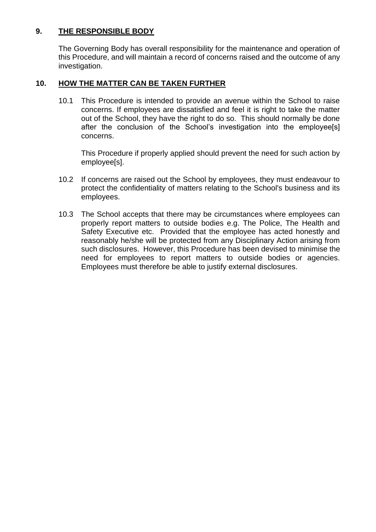# **9. THE RESPONSIBLE BODY**

The Governing Body has overall responsibility for the maintenance and operation of this Procedure, and will maintain a record of concerns raised and the outcome of any investigation.

# **10. HOW THE MATTER CAN BE TAKEN FURTHER**

10.1 This Procedure is intended to provide an avenue within the School to raise concerns. If employees are dissatisfied and feel it is right to take the matter out of the School, they have the right to do so. This should normally be done after the conclusion of the School's investigation into the employee[s] concerns.

This Procedure if properly applied should prevent the need for such action by employee[s].

- 10.2 If concerns are raised out the School by employees, they must endeavour to protect the confidentiality of matters relating to the School's business and its employees.
- 10.3 The School accepts that there may be circumstances where employees can properly report matters to outside bodies e.g. The Police, The Health and Safety Executive etc. Provided that the employee has acted honestly and reasonably he/she will be protected from any Disciplinary Action arising from such disclosures. However, this Procedure has been devised to minimise the need for employees to report matters to outside bodies or agencies. Employees must therefore be able to justify external disclosures.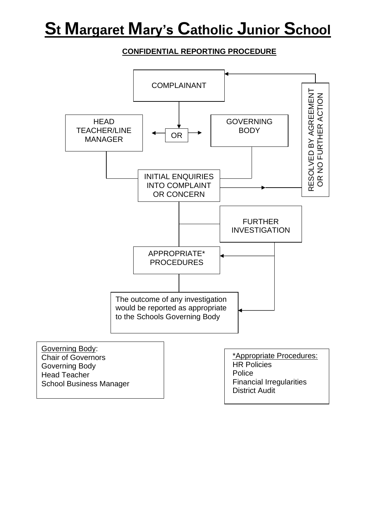# **St Margaret Mary's Catholic Junior School**

# **CONFIDENTIAL REPORTING PROCEDURE**